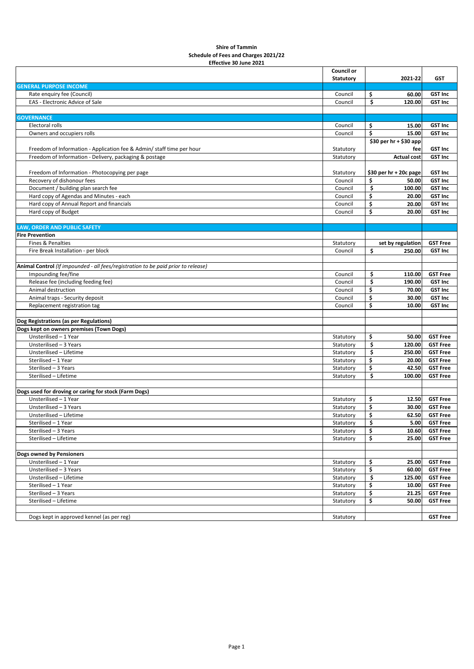## **Shire of Tammin Schedule of Fees and Charges 2021/22 Effective 30 June 2021**

|                                                                                   | Council or       |                         |                 |
|-----------------------------------------------------------------------------------|------------------|-------------------------|-----------------|
|                                                                                   | <b>Statutory</b> | 2021-22                 | <b>GST</b>      |
| <b>GENERAL PURPOSE INCOME</b>                                                     |                  |                         |                 |
| Rate enquiry fee (Council)                                                        | Council          | \$<br>60.00             | <b>GST Inc</b>  |
| EAS - Electronic Advice of Sale                                                   | Council          | \$<br>120.00            | <b>GST Inc</b>  |
|                                                                                   |                  |                         |                 |
| <b>GOVERNANCE</b>                                                                 |                  |                         |                 |
| Electoral rolls                                                                   | Council          | \$<br>15.00             | <b>GST Inc</b>  |
| Owners and occupiers rolls                                                        | Council          | \$<br>15.00             | <b>GST Inc</b>  |
|                                                                                   |                  | \$30 per $hr + $30$ app |                 |
| Freedom of Information - Application fee & Admin/ staff time per hour             | Statutory        | fee                     | <b>GST Inc</b>  |
| Freedom of Information - Delivery, packaging & postage                            |                  |                         | <b>GST Inc</b>  |
|                                                                                   | Statutory        | <b>Actual cost</b>      |                 |
|                                                                                   |                  |                         |                 |
| Freedom of Information - Photocopying per page                                    | Statutory        | \$30 per hr + 20c page  | <b>GST Inc</b>  |
| Recovery of dishonour fees                                                        | Council          | \$<br>50.00             | <b>GST Inc</b>  |
| Document / building plan search fee                                               | Council          | \$<br>100.00            | <b>GST Inc</b>  |
| Hard copy of Agendas and Minutes - each                                           | Council          | \$<br>20.00             | <b>GST Inc</b>  |
| Hard copy of Annual Report and financials                                         | Council          | \$<br>20.00             | <b>GST Inc</b>  |
| Hard copy of Budget                                                               | Council          | \$<br>20.00             | <b>GST Inc</b>  |
|                                                                                   |                  |                         |                 |
| <b>LAW, ORDER AND PUBLIC SAFETY</b>                                               |                  |                         |                 |
| <b>Fire Prevention</b>                                                            |                  |                         |                 |
| Fines & Penalties                                                                 | Statutory        | set by regulation       | <b>GST Free</b> |
| Fire Break Installation - per block                                               | Council          | \$<br>250.00            | <b>GST Inc</b>  |
|                                                                                   |                  |                         |                 |
| Animal Control (If impounded - all fees/registration to be paid prior to release) |                  |                         |                 |
| Impounding fee/fine                                                               | Council          | \$<br>110.00            | <b>GST Free</b> |
| Release fee (including feeding fee)                                               | Council          | \$<br>190.00            | <b>GST Inc</b>  |
| Animal destruction                                                                | Council          | \$<br>70.00             | <b>GST Inc</b>  |
|                                                                                   | Council          | \$<br>30.00             | <b>GST Inc</b>  |
| Animal traps - Security deposit                                                   |                  |                         |                 |
| Replacement registration tag                                                      | Council          | \$<br>10.00             | <b>GST Inc</b>  |
|                                                                                   |                  |                         |                 |
| Dog Registrations (as per Regulations)                                            |                  |                         |                 |
| Dogs kept on owners premises (Town Dogs)                                          |                  |                         |                 |
| Unsterilised - 1 Year                                                             | Statutory        | \$<br>50.00             | <b>GST Free</b> |
| Unsterilised - 3 Years                                                            | Statutory        | \$<br>120.00            | <b>GST Free</b> |
| Unsterilised - Lifetime                                                           | Statutory        | \$<br>250.00            | <b>GST Free</b> |
| Sterilised - 1 Year                                                               | Statutory        | \$<br>20.00             | <b>GST Free</b> |
| Sterilised - 3 Years                                                              | Statutory        | \$<br>42.50             | <b>GST Free</b> |
| Sterilised - Lifetime                                                             | Statutory        | \$<br>100.00            | <b>GST Free</b> |
|                                                                                   |                  |                         |                 |
| Dogs used for droving or caring for stock (Farm Dogs)                             |                  |                         |                 |
| Unsterilised - 1 Year                                                             | Statutory        | \$<br>12.50             | <b>GST Free</b> |
| Unsterilised - 3 Years                                                            | Statutory        | \$<br>30.00             | <b>GST Free</b> |
| Unsterilised - Lifetime                                                           | Statutory        | \$<br>62.50             | <b>GST Free</b> |
| Sterilised - 1 Year                                                               | Statutory        | \$                      | 5.00 GST Free   |
| Sterilised - 3 Years                                                              | Statutory        | \$<br>10.60             | <b>GST Free</b> |
| Sterilised - Lifetime                                                             | Statutory        | \$<br>25.00             | <b>GST Free</b> |
|                                                                                   |                  |                         |                 |
| <b>Dogs owned by Pensioners</b>                                                   |                  |                         |                 |
| Unsterilised - 1 Year                                                             | Statutory        | \$<br>25.00             | <b>GST Free</b> |
| Unsterilised - 3 Years                                                            |                  | \$<br>60.00             | <b>GST Free</b> |
|                                                                                   | Statutory        |                         |                 |
| Unsterilised - Lifetime                                                           | Statutory        | \$<br>125.00            | <b>GST Free</b> |
| Sterilised - 1 Year                                                               | Statutory        | \$<br>10.00             | <b>GST Free</b> |
| Sterilised - 3 Years                                                              | Statutory        | \$<br>21.25             | <b>GST Free</b> |
| Sterilised - Lifetime                                                             | Statutory        | \$<br>50.00             | <b>GST Free</b> |
|                                                                                   |                  |                         |                 |
| Dogs kept in approved kennel (as per reg)                                         | Statutory        |                         | <b>GST Free</b> |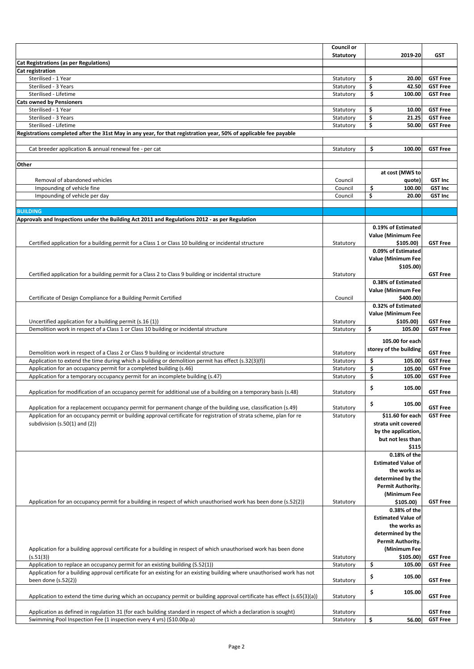|                                                                                                                                                                                                                                       | Council or             |                                          |                                    |
|---------------------------------------------------------------------------------------------------------------------------------------------------------------------------------------------------------------------------------------|------------------------|------------------------------------------|------------------------------------|
|                                                                                                                                                                                                                                       | <b>Statutory</b>       | 2019-20                                  | <b>GST</b>                         |
| <b>Cat Registrations (as per Regulations)</b>                                                                                                                                                                                         |                        |                                          |                                    |
| Cat registration                                                                                                                                                                                                                      |                        |                                          |                                    |
| Sterilised - 1 Year<br>Sterilised - 3 Years                                                                                                                                                                                           | Statutory<br>Statutory | \$<br>20.00<br>\$<br>42.50               | <b>GST Free</b><br><b>GST Free</b> |
| Sterilised - Lifetime                                                                                                                                                                                                                 | Statutory              | \$<br>100.00                             | <b>GST Free</b>                    |
| <b>Cats owned by Pensioners</b>                                                                                                                                                                                                       |                        |                                          |                                    |
| Sterilised - 1 Year                                                                                                                                                                                                                   | Statutory              | \$<br>10.00                              | <b>GST Free</b>                    |
| Sterilised - 3 Years                                                                                                                                                                                                                  | Statutory              | \$<br>21.25                              | <b>GST Free</b>                    |
| Sterilised - Lifetime                                                                                                                                                                                                                 | Statutory              | \$<br>50.00                              | <b>GST Free</b>                    |
| Registrations completed after the 31st May in any year, for that registration year, 50% of applicable fee payable                                                                                                                     |                        |                                          |                                    |
| Cat breeder application & annual renewal fee - per cat                                                                                                                                                                                | Statutory              | \$<br>100.00                             | <b>GST Free</b>                    |
|                                                                                                                                                                                                                                       |                        |                                          |                                    |
| Other                                                                                                                                                                                                                                 |                        |                                          |                                    |
|                                                                                                                                                                                                                                       |                        | at cost (MWS to                          |                                    |
| Removal of abandoned vehicles                                                                                                                                                                                                         | Council                | quote)                                   | <b>GST Inc</b>                     |
| Impounding of vehicle fine                                                                                                                                                                                                            | Council                | \$<br>100.00                             | <b>GST Inc</b>                     |
| Impounding of vehicle per day                                                                                                                                                                                                         | Council                | \$<br>20.00                              | <b>GST Inc</b>                     |
| <b>BUILDING</b>                                                                                                                                                                                                                       |                        |                                          |                                    |
| Approvals and Inspections under the Building Act 2011 and Regulations 2012 - as per Regulation                                                                                                                                        |                        |                                          |                                    |
|                                                                                                                                                                                                                                       |                        | 0.19% of Estimated                       |                                    |
|                                                                                                                                                                                                                                       |                        | Value (Minimum Fee                       |                                    |
| Certified application for a building permit for a Class 1 or Class 10 building or incidental structure                                                                                                                                | Statutory              | \$105.00                                 | <b>GST Free</b>                    |
|                                                                                                                                                                                                                                       |                        | 0.09% of Estimated                       |                                    |
|                                                                                                                                                                                                                                       |                        | Value (Minimum Fee                       |                                    |
|                                                                                                                                                                                                                                       |                        | \$105.00                                 |                                    |
| Certified application for a building permit for a Class 2 to Class 9 building or incidental structure                                                                                                                                 | Statutory              |                                          | <b>GST Free</b>                    |
|                                                                                                                                                                                                                                       |                        | 0.38% of Estimated<br>Value (Minimum Fee |                                    |
| Certificate of Design Compliance for a Building Permit Certified                                                                                                                                                                      | Council                | \$400.00)                                |                                    |
|                                                                                                                                                                                                                                       |                        | 0.32% of Estimated                       |                                    |
|                                                                                                                                                                                                                                       |                        | Value (Minimum Fee                       |                                    |
| Uncertified application for a building permit (s.16 (1))                                                                                                                                                                              | Statutory              | \$105.00)                                | <b>GST Free</b>                    |
| Demolition work in respect of a Class 1 or Class 10 building or incidental structure                                                                                                                                                  | Statutory              | \$<br>105.00                             | <b>GST Free</b>                    |
|                                                                                                                                                                                                                                       |                        | 105.00 for each                          |                                    |
| Demolition work in respect of a Class 2 or Class 9 building or incidental structure                                                                                                                                                   | Statutory              | storey of the building                   | <b>GST Free</b>                    |
| Application to extend the time during which a building or demolition permit has effect (s.32(3)(f))                                                                                                                                   | Statutory              | \$<br>105.00                             | <b>GST Free</b>                    |
| Application for an occupancy permit for a completed building (s.46)                                                                                                                                                                   | Statutory              | \$<br>105.00                             | <b>GST Free</b>                    |
| Application for a temporary occupancy permit for an incomplete building (s.47)                                                                                                                                                        | Statutory              | \$<br>105.00                             | <b>GST Free</b>                    |
|                                                                                                                                                                                                                                       |                        | \$<br>105.00                             |                                    |
| Application for modification of an occupancy permit for additional use of a building on a temporary basis (s.48)                                                                                                                      | Statutory              |                                          | <b>GST Free</b>                    |
|                                                                                                                                                                                                                                       |                        | \$<br>105.00                             |                                    |
| Application for a replacement occupancy permit for permanent change of the building use, classification (s.49)<br>Application for an occupancy permit or building approval certificate for registration of strata scheme, plan for re | Statutory              | \$11.60 for each                         | <b>GST Free</b><br><b>GST Free</b> |
| subdivision $(s.50(1)$ and $(2))$                                                                                                                                                                                                     | Statutory              | strata unit covered                      |                                    |
|                                                                                                                                                                                                                                       |                        | by the application,                      |                                    |
|                                                                                                                                                                                                                                       |                        | but not less than                        |                                    |
|                                                                                                                                                                                                                                       |                        | \$115                                    |                                    |
|                                                                                                                                                                                                                                       |                        | 0.18% of the                             |                                    |
|                                                                                                                                                                                                                                       |                        | <b>Estimated Value of</b>                |                                    |
|                                                                                                                                                                                                                                       |                        | the works as                             |                                    |
|                                                                                                                                                                                                                                       |                        | determined by the<br>Permit Authority.   |                                    |
|                                                                                                                                                                                                                                       |                        | (Minimum Fee                             |                                    |
| Application for an occupancy permit for a building in respect of which unauthorised work has been done (s.52(2))                                                                                                                      | Statutory              | \$105.00                                 | <b>GST Free</b>                    |
|                                                                                                                                                                                                                                       |                        | 0.38% of the                             |                                    |
|                                                                                                                                                                                                                                       |                        | <b>Estimated Value of</b>                |                                    |
|                                                                                                                                                                                                                                       |                        | the works as                             |                                    |
|                                                                                                                                                                                                                                       |                        | determined by the                        |                                    |
|                                                                                                                                                                                                                                       |                        | Permit Authority.                        |                                    |
| Application for a building approval certificate for a building in respect of which unauthorised work has been done<br>(s.51(3))                                                                                                       |                        | (Minimum Fee                             | <b>GST Free</b>                    |
| Application to replace an occupancy permit for an existing building (S.52(1))                                                                                                                                                         | Statutory<br>Statutory | \$105.00<br>\$<br>105.00                 | <b>GST Free</b>                    |
| Application for a building approval certificate for an existing for an existing building where unauthorised work has not                                                                                                              |                        |                                          |                                    |
| been done $(s.52(2))$                                                                                                                                                                                                                 | Statutory              | \$<br>105.00                             | <b>GST Free</b>                    |
|                                                                                                                                                                                                                                       |                        | \$<br>105.00                             |                                    |
| Application to extend the time during which an occupancy permit or building approval certificate has effect (s.65(3)(a))                                                                                                              | Statutory              |                                          | <b>GST Free</b>                    |
|                                                                                                                                                                                                                                       |                        |                                          |                                    |
| Application as defined in regulation 31 (for each building standard in respect of which a declaration is sought)<br>Swimming Pool Inspection Fee (1 inspection every 4 yrs) (\$10.00p.a)                                              | Statutory<br>Statutory | \$<br>56.00                              | <b>GST Free</b><br><b>GST Free</b> |
|                                                                                                                                                                                                                                       |                        |                                          |                                    |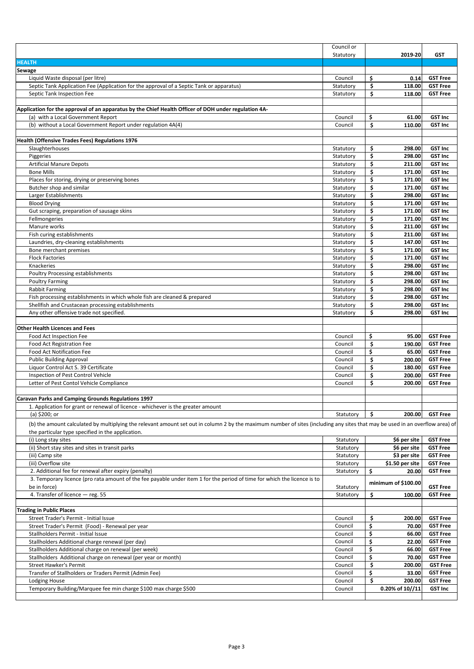|                                                                                                                                                                               | Council or             |                              |                 |
|-------------------------------------------------------------------------------------------------------------------------------------------------------------------------------|------------------------|------------------------------|-----------------|
|                                                                                                                                                                               | Statutory              | 2019-20                      | GST             |
| <b>HEALTH</b>                                                                                                                                                                 |                        |                              |                 |
| Sewage                                                                                                                                                                        |                        |                              |                 |
| Liquid Waste disposal (per litre)                                                                                                                                             | Council                | \$<br>0.14                   | <b>GST Free</b> |
| Septic Tank Application Fee (Application for the approval of a Septic Tank or apparatus)                                                                                      | Statutory              | \$<br>118.00                 | <b>GST Free</b> |
| Septic Tank Inspection Fee                                                                                                                                                    | Statutory              | \$<br>118.00                 | <b>GST Free</b> |
|                                                                                                                                                                               |                        |                              |                 |
| Application for the approval of an apparatus by the Chief Health Officer of DOH under regulation 4A-                                                                          |                        |                              |                 |
| (a) with a Local Government Report                                                                                                                                            | Council                | \$<br>61.00                  | <b>GST Inc</b>  |
| (b) without a Local Government Report under regulation 4A(4)                                                                                                                  | Council                | \$<br>110.00                 | <b>GST Inc</b>  |
|                                                                                                                                                                               |                        |                              |                 |
| Health (Offensive Trades Fees) Regulations 1976                                                                                                                               |                        |                              | <b>GST Inc</b>  |
| Slaughterhouses<br>Piggeries                                                                                                                                                  | Statutory              | \$<br>298.00<br>\$<br>298.00 | <b>GST Inc</b>  |
| Artificial Manure Depots                                                                                                                                                      | Statutory              | \$<br>211.00                 | <b>GST Inc</b>  |
| <b>Bone Mills</b>                                                                                                                                                             | Statutory              | \$<br>171.00                 | <b>GST Inc</b>  |
| Places for storing, drying or preserving bones                                                                                                                                | Statutory              | \$<br>171.00                 | <b>GST Inc</b>  |
| Butcher shop and similar                                                                                                                                                      | Statutory<br>Statutory | \$<br>171.00                 | <b>GST Inc</b>  |
| Larger Establishments                                                                                                                                                         | Statutory              | \$<br>298.00                 | <b>GST Inc</b>  |
| <b>Blood Drying</b>                                                                                                                                                           | Statutory              | \$<br>171.00                 | <b>GST Inc</b>  |
| Gut scraping, preparation of sausage skins                                                                                                                                    | Statutory              | \$<br>171.00                 | <b>GST Inc</b>  |
| Fellmongeries                                                                                                                                                                 | Statutory              | \$<br>171.00                 | <b>GST Inc</b>  |
| Manure works                                                                                                                                                                  | Statutory              | \$<br>211.00                 | <b>GST Inc</b>  |
| Fish curing establishments                                                                                                                                                    | Statutory              | \$<br>211.00                 | <b>GST Inc</b>  |
| Laundries, dry-cleaning establishments                                                                                                                                        | Statutory              | \$<br>147.00                 | <b>GST Inc</b>  |
| Bone merchant premises                                                                                                                                                        | Statutory              | \$<br>171.00                 | <b>GST Inc</b>  |
| <b>Flock Factories</b>                                                                                                                                                        | Statutory              | \$<br>171.00                 | <b>GST Inc</b>  |
| Knackeries                                                                                                                                                                    | Statutory              | \$<br>298.00                 | <b>GST Inc</b>  |
| Poultry Processing establishments                                                                                                                                             | Statutory              | \$<br>298.00                 | <b>GST Inc</b>  |
| <b>Poultry Farming</b>                                                                                                                                                        | Statutory              | \$<br>298.00                 | <b>GST Inc</b>  |
| <b>Rabbit Farming</b>                                                                                                                                                         | Statutory              | \$<br>298.00                 | <b>GST Inc</b>  |
| Fish processing establishments in which whole fish are cleaned & prepared                                                                                                     | Statutory              | \$<br>298.00                 | <b>GST Inc</b>  |
| Shellfish and Crustacean processing establishments                                                                                                                            | Statutory              | \$<br>298.00                 | <b>GST Inc</b>  |
| Any other offensive trade not specified.                                                                                                                                      | Statutory              | \$<br>298.00                 | <b>GST Inc</b>  |
|                                                                                                                                                                               |                        |                              |                 |
| <b>Other Health Licences and Fees</b>                                                                                                                                         |                        |                              |                 |
| Food Act Inspection Fee                                                                                                                                                       | Council                | \$<br>95.00                  | <b>GST Free</b> |
| Food Act Registration Fee                                                                                                                                                     | Council                | \$<br>190.00                 | <b>GST Free</b> |
| Food Act Notification Fee                                                                                                                                                     | Council                | \$<br>65.00                  | <b>GST Free</b> |
| <b>Public Building Approval</b>                                                                                                                                               | Council                | \$<br>200.00                 | <b>GST Free</b> |
| Liquor Control Act S. 39 Certificate                                                                                                                                          | Council                | \$<br>180.00                 | <b>GST Free</b> |
| Inspection of Pest Control Vehicle                                                                                                                                            | Council                | \$<br>200.00                 | <b>GST Free</b> |
| Letter of Pest Contol Vehicle Compliance                                                                                                                                      | Council                | \$<br>200.00                 | <b>GST Free</b> |
|                                                                                                                                                                               |                        |                              |                 |
| <b>Caravan Parks and Camping Grounds Regulations 1997</b>                                                                                                                     |                        |                              |                 |
| 1. Application for grant or renewal of licence - whichever is the greater amount                                                                                              |                        |                              |                 |
| (a) \$200; or                                                                                                                                                                 | Statutory              | \$<br>200.00                 | <b>GST Free</b> |
| (b) the amount calculated by multiplying the relevant amount set out in column 2 by the maximum number of sites (including any sites that may be used in an overflow area) of |                        |                              |                 |
| the particular type specified in the application.                                                                                                                             |                        |                              |                 |
| (i) Long stay sites                                                                                                                                                           | Statutory              | \$6 per site                 | <b>GST Free</b> |
| (ii) Short stay sites and sites in transit parks                                                                                                                              | Statutory              | \$6 per site                 | <b>GST Free</b> |
| (iii) Camp site                                                                                                                                                               | Statutory              | \$3 per site                 | <b>GST Free</b> |
| (iii) Overflow site                                                                                                                                                           | Statutory              | \$1.50 per site              | <b>GST Free</b> |
| 2. Additional fee for renewal after expiry (penalty)                                                                                                                          | Statutory              | \$<br>20.00                  | <b>GST Free</b> |
| 3. Temporary licence (pro rata amount of the fee payable under item 1 for the period of time for which the licence is to                                                      |                        |                              |                 |
| be in force)                                                                                                                                                                  | Statutory              | minimum of \$100.00          | <b>GST Free</b> |
| 4. Transfer of licence - reg. 55                                                                                                                                              | Statutory              | \$<br>100.00                 | <b>GST Free</b> |
|                                                                                                                                                                               |                        |                              |                 |
| <b>Trading in Public Places</b>                                                                                                                                               |                        |                              |                 |
| Street Trader's Permit - Initial Issue                                                                                                                                        | Council                | \$<br>200.00                 | <b>GST Free</b> |
| Street Trader's Permit (Food) - Renewal per year                                                                                                                              | Council                | \$<br>70.00                  | <b>GST Free</b> |
| Stallholders Permit - Initial Issue                                                                                                                                           | Council                | \$<br>66.00                  | <b>GST Free</b> |
| Stallholders Additional charge renewal (per day)                                                                                                                              | Council                | \$<br>22.00                  | <b>GST Free</b> |
| Stallholders Additional charge on renewal (per week)                                                                                                                          | Council                | \$<br>66.00                  | <b>GST Free</b> |
| Stallholders Additional charge on renewal (per year or month)                                                                                                                 | Council                | \$<br>70.00                  | <b>GST Free</b> |
| <b>Street Hawker's Permit</b>                                                                                                                                                 | Council                | \$<br>200.00                 | <b>GST Free</b> |
| Transfer of Stallholders or Traders Permit (Admin Fee)                                                                                                                        | Council                | \$<br>33.00                  | <b>GST Free</b> |
| Lodging House                                                                                                                                                                 | Council                | \$<br>200.00                 | <b>GST Free</b> |
| Temporary Building/Marquee fee min charge \$100 max charge \$500                                                                                                              | Council                | 0.20% of 10//11              | <b>GST Inc</b>  |
|                                                                                                                                                                               |                        |                              |                 |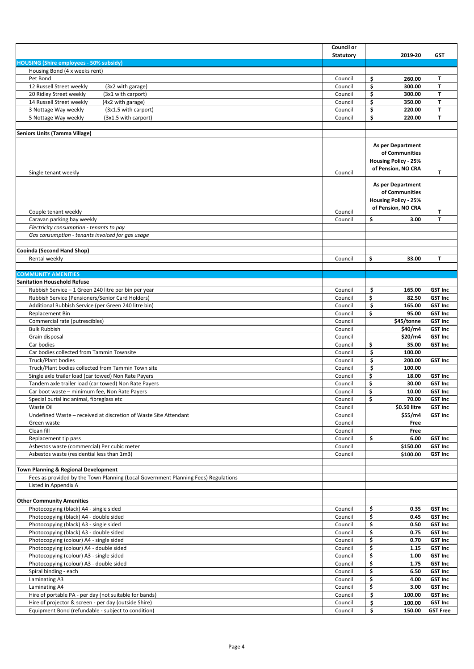|                                                                                                            | Council or         |                                                                                                 |                                   |
|------------------------------------------------------------------------------------------------------------|--------------------|-------------------------------------------------------------------------------------------------|-----------------------------------|
|                                                                                                            | <b>Statutory</b>   | 2019-20                                                                                         | <b>GST</b>                        |
| <b>HOUSING (Shire employees - 50% subsidy)</b>                                                             |                    |                                                                                                 |                                   |
| Housing Bond (4 x weeks rent)                                                                              |                    |                                                                                                 |                                   |
| Pet Bond                                                                                                   | Council            | \$<br>260.00                                                                                    | T.                                |
| 12 Russell Street weekly<br>(3x2 with garage)<br>20 Ridley Street weekly<br>(3x1 with carport)             | Council<br>Council | \$<br>300.00<br>\$<br>300.00                                                                    | T<br>T                            |
| 14 Russell Street weekly<br>(4x2 with garage)                                                              | Council            | \$<br>350.00                                                                                    | т                                 |
| 3 Nottage Way weekly<br>(3x1.5 with carport)                                                               | Council            | \$<br>220.00                                                                                    | т                                 |
| 5 Nottage Way weekly<br>(3x1.5 with carport)                                                               | Council            | \$<br>220.00                                                                                    | T                                 |
|                                                                                                            |                    |                                                                                                 |                                   |
| <b>Seniors Units (Tamma Village)</b>                                                                       |                    |                                                                                                 |                                   |
| Single tenant weekly                                                                                       | Council            | <b>As per Department</b><br>of Communities<br><b>Housing Policy - 25%</b><br>of Pension, NO CRA | т                                 |
| Couple tenant weekly                                                                                       | Council            | <b>As per Department</b><br>of Communities<br><b>Housing Policy - 25%</b><br>of Pension, NO CRA | Т                                 |
| Caravan parking bay weekly                                                                                 | Council            | \$<br>3.00                                                                                      | т                                 |
| Electricity consumption - tenants to pay<br>Gas consumption - tenants invoiced for gas usage               |                    |                                                                                                 |                                   |
|                                                                                                            |                    |                                                                                                 |                                   |
| Cooinda (Second Hand Shop)                                                                                 |                    |                                                                                                 |                                   |
| Rental weekly                                                                                              | Council            | \$<br>33.00                                                                                     | т                                 |
|                                                                                                            |                    |                                                                                                 |                                   |
| <b>COMMUNITY AMENITIES</b>                                                                                 |                    |                                                                                                 |                                   |
| <b>Sanitation Household Refuse</b>                                                                         |                    |                                                                                                 |                                   |
| Rubbish Service - 1 Green 240 litre per bin per year                                                       | Council            | \$<br>165.00                                                                                    | <b>GST Inc</b>                    |
| Rubbish Service (Pensioners/Senior Card Holders)                                                           | Council            | \$<br>82.50                                                                                     | <b>GST Inc</b>                    |
| Additional Rubbish Service (per Green 240 litre bin)                                                       | Council            | \$<br>165.00<br>\$<br>95.00                                                                     | <b>GST Inc</b><br><b>GST Inc</b>  |
| Replacement Bin<br>Commercial rate (putrescibles)                                                          | Council<br>Council | \$45/tonne                                                                                      | <b>GST Inc</b>                    |
| <b>Bulk Rubbish</b>                                                                                        | Council            | \$40/m4                                                                                         | <b>GST Inc</b>                    |
| Grain disposal                                                                                             | Council            | \$20/m4                                                                                         | <b>GST Inc</b>                    |
| Car bodies                                                                                                 | Council            | \$<br>35.00                                                                                     | <b>GST Inc</b>                    |
| Car bodies collected from Tammin Townsite                                                                  | Council            | \$<br>100.00                                                                                    |                                   |
| Truck/Plant bodies                                                                                         | Council            | \$<br>200.00                                                                                    | <b>GST Inc</b>                    |
| Truck/Plant bodies collected from Tammin Town site                                                         | Council            | \$<br>100.00                                                                                    |                                   |
| Single axle trailer load (car towed) Non Rate Payers                                                       | Council            | \$<br>18.00                                                                                     | <b>GST Inc</b>                    |
| Tandem axle trailer load (car towed) Non Rate Payers<br>Car boot waste - minimum fee, Non Rate Payers      | Council<br>Council | \$<br>30.00<br>\$<br>10.00                                                                      | <b>GST Inc</b><br><b>GST Inc</b>  |
| Special burial inc animal, fibreglass etc                                                                  | Council            | \$<br>70.00                                                                                     | <b>GST Inc</b>                    |
| Waste Oil                                                                                                  | Council            | \$0.50 litre                                                                                    | <b>GST Inc</b>                    |
| Undefined Waste - received at discretion of Waste Site Attendant                                           | Council            | \$55/m4                                                                                         | <b>GST Inc</b>                    |
| Green waste                                                                                                | Council            | Free                                                                                            |                                   |
| Clean fill                                                                                                 | Council            | Free                                                                                            |                                   |
| Replacement tip pass                                                                                       | Council            | \$<br>6.00                                                                                      | <b>GST Inc</b>                    |
| Asbestos waste (commercial) Per cubic meter                                                                | Council            | \$150.00                                                                                        | <b>GST Inc</b>                    |
| Asbestos waste (residential less than 1m3)                                                                 | Council            | \$100.00                                                                                        | <b>GST Inc</b>                    |
| Town Planning & Regional Development                                                                       |                    |                                                                                                 |                                   |
| Fees as provided by the Town Planning (Local Government Planning Fees) Regulations                         |                    |                                                                                                 |                                   |
| Listed in Appendix A                                                                                       |                    |                                                                                                 |                                   |
|                                                                                                            |                    |                                                                                                 |                                   |
| <b>Other Community Amenities</b>                                                                           |                    |                                                                                                 |                                   |
| Photocopying (black) A4 - single sided                                                                     | Council            | \$<br>0.35                                                                                      | <b>GST Inc</b>                    |
| Photocopying (black) A4 - double sided                                                                     | Council            | \$<br>0.45                                                                                      | <b>GST Inc</b>                    |
| Photocopying (black) A3 - single sided<br>Photocopying (black) A3 - double sided                           | Council<br>Council | \$<br>0.50<br>\$<br>0.75                                                                        | <b>GST Inc</b><br><b>GST Inc</b>  |
| Photocopying (colour) A4 - single sided                                                                    | Council            | \$<br>0.70                                                                                      | <b>GST Inc</b>                    |
| Photocopying (colour) A4 - double sided                                                                    | Council            | \$<br>1.15                                                                                      | <b>GST Inc</b>                    |
| Photocopying (colour) A3 - single sided                                                                    | Council            | \$<br>1.00                                                                                      | <b>GST Inc</b>                    |
| Photocopying (colour) A3 - double sided                                                                    | Council            | \$<br>1.75                                                                                      | <b>GST Inc</b>                    |
| Spiral binding - each                                                                                      | Council            | \$<br>6.50                                                                                      | <b>GST Inc</b>                    |
| Laminating A3                                                                                              | Council            | \$<br>4.00                                                                                      | <b>GST Inc</b>                    |
| Laminating A4                                                                                              | Council            | \$<br>3.00                                                                                      | <b>GST Inc</b>                    |
| Hire of portable PA - per day (not suitable for bands)                                                     | Council            | \$<br>100.00                                                                                    | <b>GST Inc</b>                    |
| Hire of projector & screen - per day (outside Shire)<br>Equipment Bond (refundable - subject to condition) | Council<br>Council | \$<br>100.00<br>\$<br>150.00                                                                    | <b>GST Inc</b><br><b>GST Free</b> |
|                                                                                                            |                    |                                                                                                 |                                   |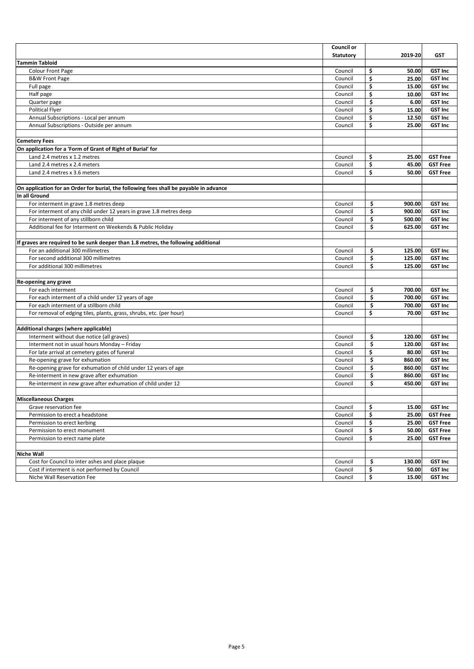|                                                                                        | <b>Council or</b> |              |                 |
|----------------------------------------------------------------------------------------|-------------------|--------------|-----------------|
|                                                                                        | <b>Statutory</b>  | 2019-20      | <b>GST</b>      |
| <b>Tammin Tabloid</b>                                                                  |                   |              |                 |
| <b>Colour Front Page</b>                                                               | Council           | \$<br>50.00  | <b>GST Inc</b>  |
| <b>B&amp;W Front Page</b>                                                              | Council           | \$<br>25.00  | <b>GST Inc</b>  |
| Full page                                                                              | Council           | \$<br>15.00  | <b>GST Inc</b>  |
| Half page                                                                              | Council           | \$<br>10.00  | <b>GST Inc</b>  |
| Quarter page                                                                           | Council           | \$<br>6.00   | <b>GST Inc</b>  |
| <b>Political Flyer</b>                                                                 | Council           | \$<br>15.00  | <b>GST Inc</b>  |
| Annual Subscriptions - Local per annum                                                 | Council           | \$<br>12.50  | <b>GST Inc</b>  |
| Annual Subscriptions - Outside per annum                                               | Council           | \$<br>25.00  | <b>GST Inc</b>  |
|                                                                                        |                   |              |                 |
| <b>Cemetery Fees</b>                                                                   |                   |              |                 |
| On application for a 'Form of Grant of Right of Burial' for                            |                   |              |                 |
| Land 2.4 metres x 1.2 metres                                                           | Council           | \$<br>25.00  | <b>GST Free</b> |
| Land 2.4 metres x 2.4 meters                                                           | Council           | \$<br>45.00  | <b>GST Free</b> |
| Land 2.4 metres x 3.6 meters                                                           | Council           | \$<br>50.00  | <b>GST Free</b> |
|                                                                                        |                   |              |                 |
| On application for an Order for burial, the following fees shall be payable in advance |                   |              |                 |
| In all Ground                                                                          |                   |              |                 |
| For interment in grave 1.8 metres deep                                                 | Council           | \$<br>900.00 | <b>GST Inc</b>  |
| For interment of any child under 12 years in grave 1.8 metres deep                     | Council           | \$<br>900.00 | <b>GST Inc</b>  |
| For interment of any stillborn child                                                   | Council           | \$<br>500.00 | <b>GST Inc</b>  |
| Additional fee for Interment on Weekends & Public Holiday                              | Council           | \$<br>625.00 | <b>GST Inc</b>  |
|                                                                                        |                   |              |                 |
| If graves are required to be sunk deeper than 1.8 metres, the following additional     |                   |              |                 |
| For an additional 300 millimetres                                                      | Council           | \$<br>125.00 | <b>GST Inc</b>  |
| For second additional 300 millimetres                                                  | Council           | \$<br>125.00 | <b>GST Inc</b>  |
| For additional 300 millimetres                                                         | Council           | \$<br>125.00 | <b>GST Inc</b>  |
|                                                                                        |                   |              |                 |
| Re-opening any grave                                                                   |                   |              |                 |
| For each interment                                                                     | Council           | \$<br>700.00 | <b>GST Inc</b>  |
| For each interment of a child under 12 years of age                                    | Council           | \$<br>700.00 | <b>GST Inc</b>  |
| For each interment of a stillborn child                                                | Council           | \$<br>700.00 | <b>GST Inc</b>  |
| For removal of edging tiles, plants, grass, shrubs, etc. (per hour)                    | Council           | \$<br>70.00  | <b>GST Inc</b>  |
|                                                                                        |                   |              |                 |
| Additional charges (where applicable)                                                  |                   |              |                 |
| Interment without due notice (all graves)                                              | Council           | \$<br>120.00 | <b>GST Inc</b>  |
| Interment not in usual hours Monday - Friday                                           | Council           | \$<br>120.00 | <b>GST Inc</b>  |
| For late arrival at cemetery gates of funeral                                          | Council           | \$<br>80.00  | <b>GST Inc</b>  |
| Re-opening grave for exhumation                                                        | Council           | \$<br>860.00 | <b>GST Inc</b>  |
| Re-opening grave for exhumation of child under 12 years of age                         | Council           | \$<br>860.00 | <b>GST Inc</b>  |
| Re-interment in new grave after exhumation                                             | Council           | \$<br>860.00 | <b>GST Inc</b>  |
| Re-interment in new grave after exhumation of child under 12                           | Council           | \$<br>450.00 | <b>GST Inc</b>  |
|                                                                                        |                   |              |                 |
| <b>Miscellaneous Charges</b>                                                           |                   |              |                 |
| Grave reservation fee                                                                  | Council           | \$<br>15.00  | <b>GST Inc</b>  |
| Permission to erect a headstone                                                        | Council           | \$<br>25.00  | <b>GST Free</b> |
| Permission to erect kerbing                                                            | Council           | \$<br>25.00  | <b>GST Free</b> |
| Permission to erect monument                                                           | Council           | \$<br>50.00  | <b>GST Free</b> |
| Permission to erect name plate                                                         | Council           | \$<br>25.00  | <b>GST Free</b> |
|                                                                                        |                   |              |                 |
| <b>Niche Wall</b>                                                                      |                   |              |                 |
| Cost for Council to inter ashes and place plaque                                       | Council           | \$<br>130.00 | <b>GST Inc</b>  |
| Cost if interment is not performed by Council                                          | Council           | \$<br>50.00  | <b>GST Inc</b>  |
| Niche Wall Reservation Fee                                                             | Council           | \$<br>15.00  | <b>GST Inc</b>  |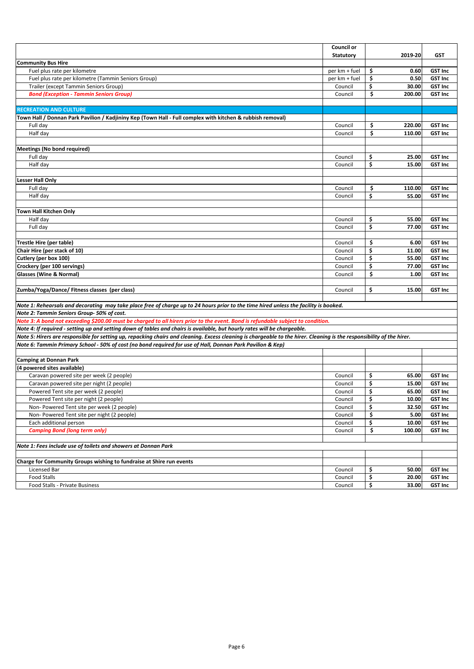|                                                                                                                                                                        | <b>Council or</b> |              |                |
|------------------------------------------------------------------------------------------------------------------------------------------------------------------------|-------------------|--------------|----------------|
|                                                                                                                                                                        | <b>Statutory</b>  | 2019-20      | <b>GST</b>     |
| <b>Community Bus Hire</b>                                                                                                                                              |                   |              |                |
| Fuel plus rate per kilometre                                                                                                                                           | per km + fuel     | \$<br>0.60   | <b>GST Inc</b> |
| Fuel plus rate per kilometre (Tammin Seniors Group)                                                                                                                    | per km + fuel     | \$<br>0.50   | <b>GST Inc</b> |
| Trailer (except Tammin Seniors Group)                                                                                                                                  | Council           | \$<br>30.00  | <b>GST Inc</b> |
| <b>Bond (Exception - Tammin Seniors Group)</b>                                                                                                                         | Council           | \$<br>200.00 | <b>GST Inc</b> |
|                                                                                                                                                                        |                   |              |                |
| <b>RECREATION AND CULTURE</b>                                                                                                                                          |                   |              |                |
| (Kadimy Kell / Donnan Park Pavilion / Kadjininy Kep (Town Hall - Full complex with kitchen & rubbish removal                                                           |                   |              |                |
| Full day                                                                                                                                                               | Council           | \$<br>220.00 | <b>GST Inc</b> |
| Half day                                                                                                                                                               | Council           | \$<br>110.00 | <b>GST Inc</b> |
|                                                                                                                                                                        |                   |              |                |
| <b>Meetings (No bond required)</b>                                                                                                                                     |                   |              |                |
| Full day                                                                                                                                                               | Council           | \$<br>25.00  | <b>GST Inc</b> |
| Half day                                                                                                                                                               | Council           | \$<br>15.00  | <b>GST Inc</b> |
|                                                                                                                                                                        |                   |              |                |
| <b>Lesser Hall Only</b>                                                                                                                                                |                   |              |                |
| Full day                                                                                                                                                               | Council           | \$<br>110.00 | <b>GST Inc</b> |
| Half day                                                                                                                                                               | Council           | \$<br>55.00  | <b>GST Inc</b> |
|                                                                                                                                                                        |                   |              |                |
| <b>Town Hall Kitchen Only</b>                                                                                                                                          |                   |              |                |
| Half day                                                                                                                                                               | Council           | \$<br>55.00  | <b>GST Inc</b> |
| Full day                                                                                                                                                               | Council           | \$<br>77.00  | <b>GST Inc</b> |
|                                                                                                                                                                        |                   |              |                |
| Trestle Hire (per table)                                                                                                                                               | Council           | \$<br>6.00   | <b>GST Inc</b> |
| Chair Hire (per stack of 10)                                                                                                                                           | Council           | \$<br>11.00  | <b>GST Inc</b> |
| Cutlery (per box 100)                                                                                                                                                  | Council           | \$<br>55.00  | <b>GST Inc</b> |
| Crockery (per 100 servings)                                                                                                                                            | Council           | \$<br>77.00  | <b>GST Inc</b> |
| <b>Glasses (Wine &amp; Normal)</b>                                                                                                                                     | Council           | \$<br>1.00   | <b>GST Inc</b> |
|                                                                                                                                                                        |                   |              |                |
| Zumba/Yoga/Dance/ Fitness classes (per class)                                                                                                                          | Council           | \$<br>15.00  | <b>GST Inc</b> |
|                                                                                                                                                                        |                   |              |                |
| Note 1: Rehearsals and decorating may take place free of charge up to 24 hours prior to the time hired unless the facility is booked.                                  |                   |              |                |
| Note 2: Tammin Seniors Group-50% of cost.                                                                                                                              |                   |              |                |
| Note 3: A bond not exceeding \$200.00 must be charged to all hirers prior to the event. Bond is refundable subject to condition.                                       |                   |              |                |
| Note 4: If required - setting up and setting down of tables and chairs is available, but hourly rates will be chargeable.                                              |                   |              |                |
| Note 5: Hirers are responsible for setting up, repacking chairs and cleaning. Excess cleaning is chargeable to the hirer. Cleaning is the responsibility of the hirer. |                   |              |                |
| Note 6: Tammin Primary School - 50% of cost (no bond required for use of Hall, Donnan Park Pavilion & Kep)                                                             |                   |              |                |
|                                                                                                                                                                        |                   |              |                |
| <b>Camping at Donnan Park</b>                                                                                                                                          |                   |              |                |
| (4 powered sites available)                                                                                                                                            |                   |              |                |
| Caravan powered site per week (2 people)                                                                                                                               | Council           | \$<br>65.00  | <b>GST Inc</b> |
| Caravan powered site per night (2 people)                                                                                                                              | Council           | \$<br>15.00  | <b>GST Inc</b> |
| Powered Tent site per week (2 people)                                                                                                                                  | Council           | \$<br>65.00  | <b>GST Inc</b> |
| Powered Tent site per night (2 people)                                                                                                                                 | Council           | \$<br>10.00  | <b>GST Inc</b> |
| Non- Powered Tent site per week (2 people)                                                                                                                             | Council           | \$<br>32.50  | <b>GST Inc</b> |
| Non-Powered Tent site per night (2 people)                                                                                                                             | Council           | \$<br>5.00   | <b>GST Inc</b> |
| Each additional person                                                                                                                                                 | Council           | \$<br>10.00  | <b>GST Inc</b> |
| <b>Camping Bond (long term only)</b>                                                                                                                                   | Council           | \$<br>100.00 | <b>GST Inc</b> |
|                                                                                                                                                                        |                   |              |                |
| Note 1: Fees include use of toilets and showers at Donnan Park                                                                                                         |                   |              |                |
|                                                                                                                                                                        |                   |              |                |
| Charge for Community Groups wishing to fundraise at Shire run events                                                                                                   |                   |              |                |
| Licensed Bar                                                                                                                                                           | Council           | \$<br>50.00  | <b>GST Inc</b> |
| <b>Food Stalls</b>                                                                                                                                                     | Council           | \$<br>20.00  | <b>GST Inc</b> |
| Food Stalls - Private Business                                                                                                                                         | Council           | \$<br>33.00  | <b>GST Inc</b> |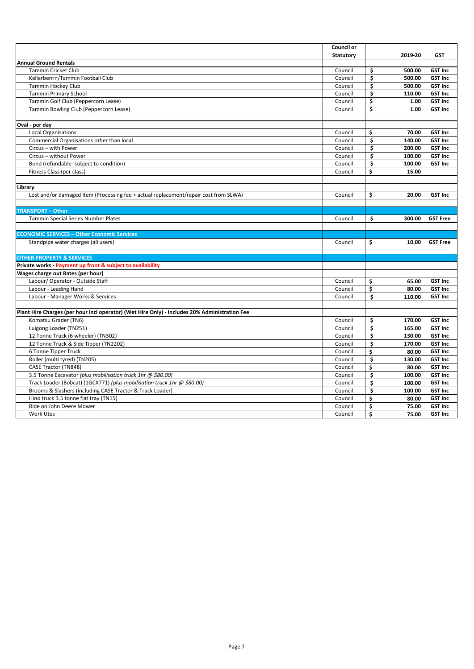|                                                                                               | Council or       |               |                 |
|-----------------------------------------------------------------------------------------------|------------------|---------------|-----------------|
|                                                                                               | <b>Statutory</b> | 2019-20       | <b>GST</b>      |
| <b>Annual Ground Rentals</b>                                                                  |                  |               |                 |
| <b>Tammin Cricket Club</b>                                                                    | Council          | \$<br>500.00  | <b>GST Inc</b>  |
| Kellerberrin/Tammin Football Club                                                             | Council          | \$<br>500.00  | <b>GST Inc</b>  |
| Tammin Hockey Club                                                                            | Council          | \$<br>500.00  | <b>GST Inc</b>  |
| <b>Tammin Primary School</b>                                                                  | Council          | \$<br>110.00  | <b>GST Inc</b>  |
| Tammin Golf Club (Peppercorn Lease)                                                           | Council          | \$<br>1.00    | <b>GST Inc</b>  |
| Tammin Bowling Club (Peppercorn Lease)                                                        | Council          | \$<br>1.00    | <b>GST Inc</b>  |
|                                                                                               |                  |               |                 |
| Oval - per day                                                                                |                  |               |                 |
| <b>Local Organisations</b>                                                                    | Council          | \$<br>70.00   | <b>GST Inc</b>  |
| Commercial Organisations other than local                                                     | Council          | \$<br>140.00  | <b>GST Inc</b>  |
| Circus - with Power                                                                           | Council          | \$<br>200.00  | <b>GST Inc</b>  |
| Circus - without Power                                                                        | Council          | \$<br>100.00  | <b>GST Inc</b>  |
| Bond (refundable- subject to condition)                                                       | Council          | \$<br>100.00  | <b>GST Inc</b>  |
| Fitness Class (per class)                                                                     | Council          | Ś<br>15.00    |                 |
|                                                                                               |                  |               |                 |
| Library                                                                                       |                  |               |                 |
| Lost and/or damaged item (Processing fee + actual replacement/repair cost from SLWA)          | Council          | \$<br>20.00   | <b>GST Inc</b>  |
|                                                                                               |                  |               |                 |
| <b>TRANSPORT - Other</b>                                                                      |                  |               |                 |
| Tammin Special Series Number Plates                                                           | Council          | \$.<br>300.00 | <b>GST Free</b> |
|                                                                                               |                  |               |                 |
| <b>ECONOMIC SERVICES - Other Economic Services</b>                                            |                  |               |                 |
| Standpipe water charges (all users)                                                           | Council          | \$<br>10.00   | <b>GST Free</b> |
|                                                                                               |                  |               |                 |
| <b>OTHER PROPERTY &amp; SERVICES</b>                                                          |                  |               |                 |
| Private works - Payment up front & subject to availability                                    |                  |               |                 |
| Wages charge out Rates (per hour)                                                             |                  |               |                 |
| Labour/ Operator - Outside Staff                                                              | Council          | \$<br>65.00   | <b>GST Inc</b>  |
| Labour - Leading Hand                                                                         | Council          | \$<br>80.00   | <b>GST Inc</b>  |
| Labour - Manager Works & Services                                                             | Council          | \$<br>110.00  | <b>GST Inc</b>  |
|                                                                                               |                  |               |                 |
| Plant Hire Charges (per hour incl operator) (Wet Hire Only) - Includes 20% Administration Fee |                  |               |                 |
| Komatsu Grader (TN6)                                                                          | Council          | \$<br>170.00  | <b>GST Inc</b>  |
| Luigong Loader (TN251)                                                                        | Council          | Ś<br>165.00   | <b>GST Inc</b>  |
| 12 Tonne Truck (6 wheeler) (TN302)                                                            | Council          | \$<br>130.00  | <b>GST Inc</b>  |
| 12 Tonne Truck & Side Tipper (TN2202)                                                         | Council          | \$<br>170.00  | <b>GST Inc</b>  |
| 6 Tonne Tipper Truck                                                                          | Council          | \$<br>80.00   | <b>GST Inc</b>  |
| Roller (multi tyred) (TN205)                                                                  | Council          | \$<br>130.00  | <b>GST Inc</b>  |
| CASE Tractor (TN848)                                                                          | Council          | \$<br>80.00   | <b>GST Inc</b>  |
| 3.5 Tonne Excavator (plus mobilisation truck 1hr @ \$80.00)                                   | Council          | \$<br>100.00  | <b>GST Inc</b>  |
| Track Loader (Bobcat) (1GCX771) (plus mobilisation truck 1hr @ \$80.00)                       | Council          | Ś<br>100.00   | <b>GST Inc</b>  |
| Brooms & Slashers (including CASE Tractor & Track Loader)                                     | Council          | \$<br>100.00  | <b>GST Inc</b>  |
| Hino truck 3.5 tonne flat tray (TN15)                                                         | Council          | \$<br>80.00   | <b>GST Inc</b>  |
| Ride on John Deere Mower                                                                      | Council          | \$<br>75.00   | <b>GST Inc</b>  |
| <b>Work Utes</b>                                                                              | Council          | \$<br>75.00   | <b>GST Inc</b>  |